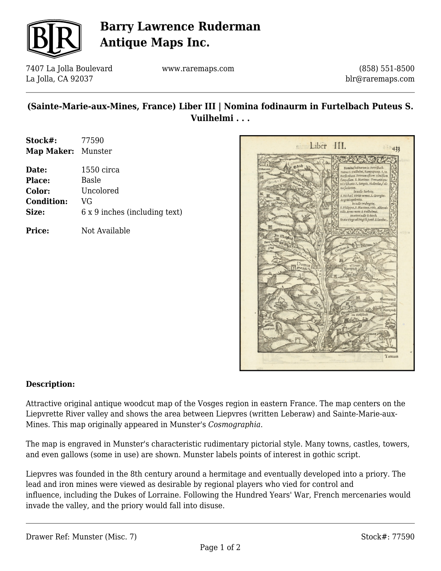

## **Barry Lawrence Ruderman Antique Maps Inc.**

7407 La Jolla Boulevard La Jolla, CA 92037

www.raremaps.com

(858) 551-8500 blr@raremaps.com

### **(Sainte-Marie-aux-Mines, France) Liber III | Nomina fodinaurm in Furtelbach Puteus S. Vuilhelmi . . .**

| Stock#:    | 77590   |
|------------|---------|
| Map Maker: | Munster |

| Date:             | $1550$ circa                  |
|-------------------|-------------------------------|
| <b>Place:</b>     | Basle                         |
| Color:            | Uncolored                     |
| <b>Condition:</b> | VG                            |
| Size:             | 6 x 9 inches (including text) |
|                   |                               |

**Price:** Not Available



#### **Description:**

Attractive original antique woodcut map of the Vosges region in eastern France. The map centers on the Liepvrette River valley and shows the area between Liepvres (written Leberaw) and Sainte-Marie-aux-Mines. This map originally appeared in Munster's *Cosmographia*.

The map is engraved in Munster's characteristic rudimentary pictorial style. Many towns, castles, towers, and even gallows (some in use) are shown. Munster labels points of interest in gothic script.

Liepvres was founded in the 8th century around a hermitage and eventually developed into a priory. The lead and iron mines were viewed as desirable by regional players who vied for control and influence, including the Dukes of Lorraine. Following the Hundred Years' War, French mercenaries would invade the valley, and the priory would fall into disuse.